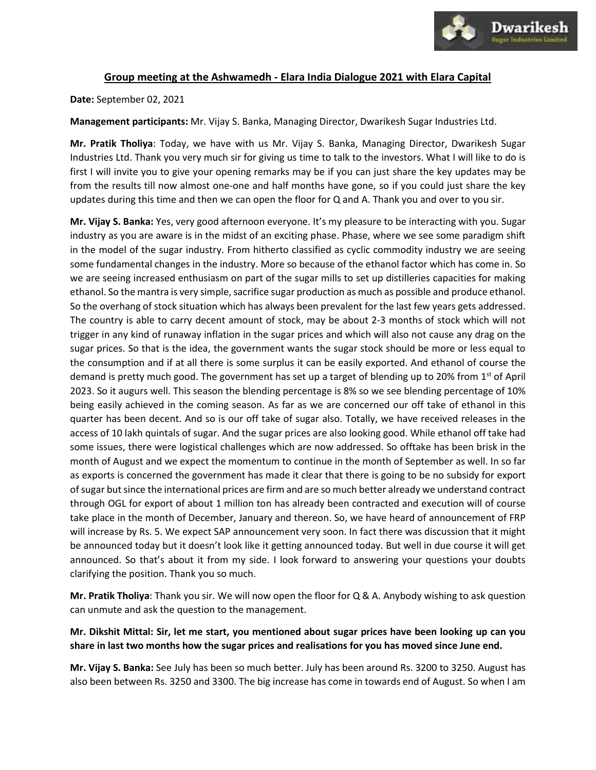

## **Group meeting at the Ashwamedh - Elara India Dialogue 2021 with Elara Capital**

**Date:** September 02, 2021

**Management participants:** Mr. Vijay S. Banka, Managing Director, Dwarikesh Sugar Industries Ltd.

**Mr. Pratik Tholiya**: Today, we have with us Mr. Vijay S. Banka, Managing Director, Dwarikesh Sugar Industries Ltd. Thank you very much sir for giving us time to talk to the investors. What I will like to do is first I will invite you to give your opening remarks may be if you can just share the key updates may be from the results till now almost one-one and half months have gone, so if you could just share the key updates during this time and then we can open the floor for Q and A. Thank you and over to you sir.

**Mr. Vijay S. Banka:** Yes, very good afternoon everyone. It's my pleasure to be interacting with you. Sugar industry as you are aware is in the midst of an exciting phase. Phase, where we see some paradigm shift in the model of the sugar industry. From hitherto classified as cyclic commodity industry we are seeing some fundamental changes in the industry. More so because of the ethanol factor which has come in. So we are seeing increased enthusiasm on part of the sugar mills to set up distilleries capacities for making ethanol. So the mantra is very simple, sacrifice sugar production as much as possible and produce ethanol. So the overhang of stock situation which has always been prevalent for the last few years gets addressed. The country is able to carry decent amount of stock, may be about 2-3 months of stock which will not trigger in any kind of runaway inflation in the sugar prices and which will also not cause any drag on the sugar prices. So that is the idea, the government wants the sugar stock should be more or less equal to the consumption and if at all there is some surplus it can be easily exported. And ethanol of course the demand is pretty much good. The government has set up a target of blending up to 20% from 1<sup>st</sup> of April 2023. So it augurs well. This season the blending percentage is 8% so we see blending percentage of 10% being easily achieved in the coming season. As far as we are concerned our off take of ethanol in this quarter has been decent. And so is our off take of sugar also. Totally, we have received releases in the access of 10 lakh quintals of sugar. And the sugar prices are also looking good. While ethanol off take had some issues, there were logistical challenges which are now addressed. So offtake has been brisk in the month of August and we expect the momentum to continue in the month of September as well. In so far as exports is concerned the government has made it clear that there is going to be no subsidy for export of sugar but since the international prices are firm and are so much better already we understand contract through OGL for export of about 1 million ton has already been contracted and execution will of course take place in the month of December, January and thereon. So, we have heard of announcement of FRP will increase by Rs. 5. We expect SAP announcement very soon. In fact there was discussion that it might be announced today but it doesn't look like it getting announced today. But well in due course it will get announced. So that's about it from my side. I look forward to answering your questions your doubts clarifying the position. Thank you so much.

**Mr. Pratik Tholiya**: Thank you sir. We will now open the floor for Q & A. Anybody wishing to ask question can unmute and ask the question to the management.

**Mr. Dikshit Mittal: Sir, let me start, you mentioned about sugar prices have been looking up can you share in last two months how the sugar prices and realisations for you has moved since June end.** 

**Mr. Vijay S. Banka:** See July has been so much better. July has been around Rs. 3200 to 3250. August has also been between Rs. 3250 and 3300. The big increase has come in towards end of August. So when I am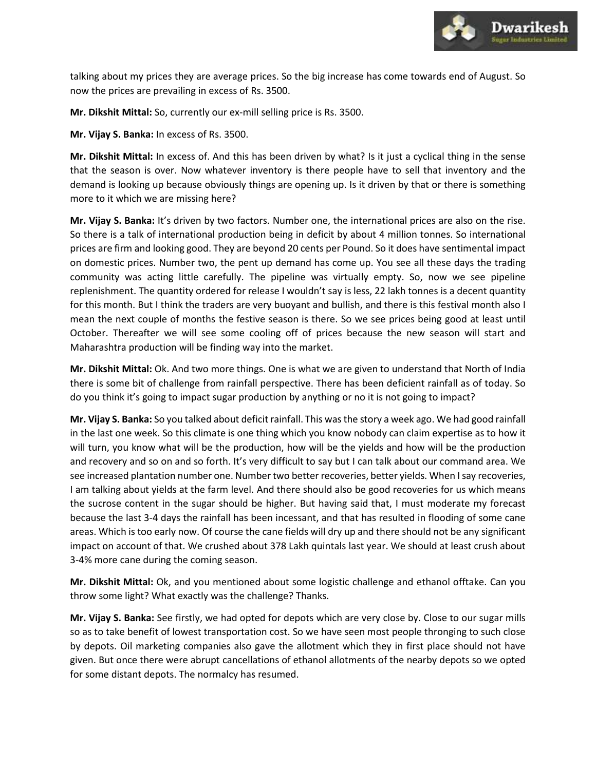

talking about my prices they are average prices. So the big increase has come towards end of August. So now the prices are prevailing in excess of Rs. 3500.

**Mr. Dikshit Mittal:** So, currently our ex-mill selling price is Rs. 3500.

**Mr. Vijay S. Banka:** In excess of Rs. 3500.

**Mr. Dikshit Mittal:** In excess of. And this has been driven by what? Is it just a cyclical thing in the sense that the season is over. Now whatever inventory is there people have to sell that inventory and the demand is looking up because obviously things are opening up. Is it driven by that or there is something more to it which we are missing here?

**Mr. Vijay S. Banka:** It's driven by two factors. Number one, the international prices are also on the rise. So there is a talk of international production being in deficit by about 4 million tonnes. So international prices are firm and looking good. They are beyond 20 cents per Pound. So it does have sentimental impact on domestic prices. Number two, the pent up demand has come up. You see all these days the trading community was acting little carefully. The pipeline was virtually empty. So, now we see pipeline replenishment. The quantity ordered for release I wouldn't say is less, 22 lakh tonnes is a decent quantity for this month. But I think the traders are very buoyant and bullish, and there is this festival month also I mean the next couple of months the festive season is there. So we see prices being good at least until October. Thereafter we will see some cooling off of prices because the new season will start and Maharashtra production will be finding way into the market.

**Mr. Dikshit Mittal:** Ok. And two more things. One is what we are given to understand that North of India there is some bit of challenge from rainfall perspective. There has been deficient rainfall as of today. So do you think it's going to impact sugar production by anything or no it is not going to impact?

**Mr. Vijay S. Banka:** So you talked about deficit rainfall. This was the story a week ago. We had good rainfall in the last one week. So this climate is one thing which you know nobody can claim expertise as to how it will turn, you know what will be the production, how will be the yields and how will be the production and recovery and so on and so forth. It's very difficult to say but I can talk about our command area. We see increased plantation number one. Number two better recoveries, better yields. When I say recoveries, I am talking about yields at the farm level. And there should also be good recoveries for us which means the sucrose content in the sugar should be higher. But having said that, I must moderate my forecast because the last 3-4 days the rainfall has been incessant, and that has resulted in flooding of some cane areas. Which is too early now. Of course the cane fields will dry up and there should not be any significant impact on account of that. We crushed about 378 Lakh quintals last year. We should at least crush about 3-4% more cane during the coming season.

**Mr. Dikshit Mittal:** Ok, and you mentioned about some logistic challenge and ethanol offtake. Can you throw some light? What exactly was the challenge? Thanks.

**Mr. Vijay S. Banka:** See firstly, we had opted for depots which are very close by. Close to our sugar mills so as to take benefit of lowest transportation cost. So we have seen most people thronging to such close by depots. Oil marketing companies also gave the allotment which they in first place should not have given. But once there were abrupt cancellations of ethanol allotments of the nearby depots so we opted for some distant depots. The normalcy has resumed.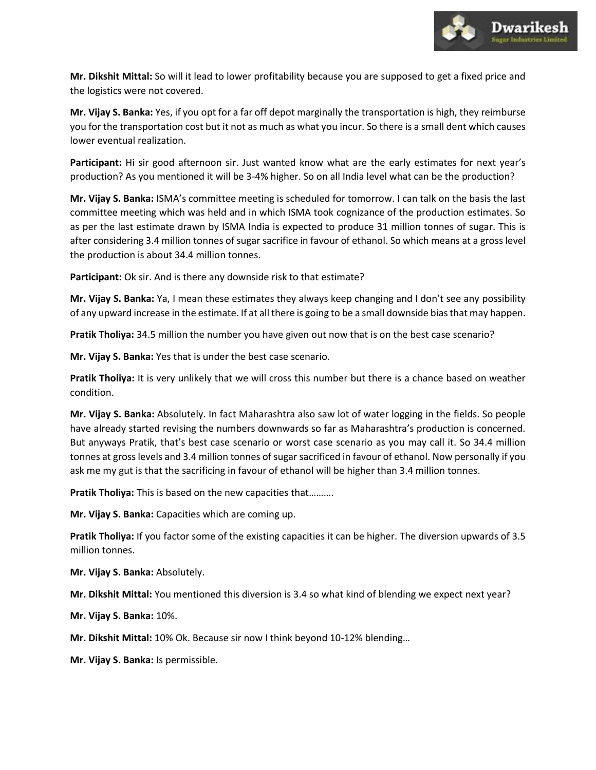

**Mr. Dikshit Mittal:** So will it lead to lower profitability because you are supposed to get a fixed price and the logistics were not covered.

**Mr. Vijay S. Banka:** Yes, if you opt for a far off depot marginally the transportation is high, they reimburse you for the transportation cost but it not as much as what you incur. So there is a small dent which causes lower eventual realization.

**Participant:** Hi sir good afternoon sir. Just wanted know what are the early estimates for next year's production? As you mentioned it will be 3-4% higher. So on all India level what can be the production?

**Mr. Vijay S. Banka:** ISMA's committee meeting is scheduled for tomorrow. I can talk on the basis the last committee meeting which was held and in which ISMA took cognizance of the production estimates. So as per the last estimate drawn by ISMA India is expected to produce 31 million tonnes of sugar. This is after considering 3.4 million tonnes of sugar sacrifice in favour of ethanol. So which means at a gross level the production is about 34.4 million tonnes.

**Participant:** Ok sir. And is there any downside risk to that estimate?

**Mr. Vijay S. Banka:** Ya, I mean these estimates they always keep changing and I don't see any possibility of any upward increase in the estimate. If at all there is going to be a small downside bias that may happen.

**Pratik Tholiya:** 34.5 million the number you have given out now that is on the best case scenario?

**Mr. Vijay S. Banka:** Yes that is under the best case scenario.

**Pratik Tholiya:** It is very unlikely that we will cross this number but there is a chance based on weather condition.

**Mr. Vijay S. Banka:** Absolutely. In fact Maharashtra also saw lot of water logging in the fields. So people have already started revising the numbers downwards so far as Maharashtra's production is concerned. But anyways Pratik, that's best case scenario or worst case scenario as you may call it. So 34.4 million tonnes at gross levels and 3.4 million tonnes of sugar sacrificed in favour of ethanol. Now personally if you ask me my gut is that the sacrificing in favour of ethanol will be higher than 3.4 million tonnes.

**Pratik Tholiya:** This is based on the new capacities that……….

**Mr. Vijay S. Banka:** Capacities which are coming up.

**Pratik Tholiya:** If you factor some of the existing capacities it can be higher. The diversion upwards of 3.5 million tonnes.

**Mr. Vijay S. Banka:** Absolutely.

**Mr. Dikshit Mittal:** You mentioned this diversion is 3.4 so what kind of blending we expect next year?

**Mr. Vijay S. Banka:** 10%.

**Mr. Dikshit Mittal:** 10% Ok. Because sir now I think beyond 10-12% blending…

**Mr. Vijay S. Banka:** Is permissible.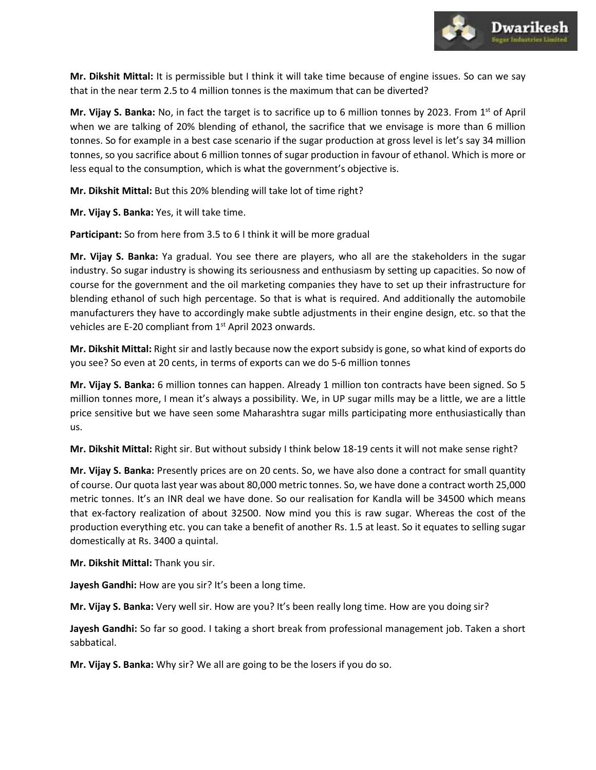

**Mr. Dikshit Mittal:** It is permissible but I think it will take time because of engine issues. So can we say that in the near term 2.5 to 4 million tonnes is the maximum that can be diverted?

**Mr. Vijay S. Banka:** No, in fact the target is to sacrifice up to 6 million tonnes by 2023. From 1<sup>st</sup> of April when we are talking of 20% blending of ethanol, the sacrifice that we envisage is more than 6 million tonnes. So for example in a best case scenario if the sugar production at gross level is let's say 34 million tonnes, so you sacrifice about 6 million tonnes of sugar production in favour of ethanol. Which is more or less equal to the consumption, which is what the government's objective is.

**Mr. Dikshit Mittal:** But this 20% blending will take lot of time right?

**Mr. Vijay S. Banka:** Yes, it will take time.

**Participant:** So from here from 3.5 to 6 I think it will be more gradual

**Mr. Vijay S. Banka:** Ya gradual. You see there are players, who all are the stakeholders in the sugar industry. So sugar industry is showing its seriousness and enthusiasm by setting up capacities. So now of course for the government and the oil marketing companies they have to set up their infrastructure for blending ethanol of such high percentage. So that is what is required. And additionally the automobile manufacturers they have to accordingly make subtle adjustments in their engine design, etc. so that the vehicles are E-20 compliant from 1<sup>st</sup> April 2023 onwards.

**Mr. Dikshit Mittal:** Right sir and lastly because now the export subsidy is gone, so what kind of exports do you see? So even at 20 cents, in terms of exports can we do 5-6 million tonnes

**Mr. Vijay S. Banka:** 6 million tonnes can happen. Already 1 million ton contracts have been signed. So 5 million tonnes more, I mean it's always a possibility. We, in UP sugar mills may be a little, we are a little price sensitive but we have seen some Maharashtra sugar mills participating more enthusiastically than us.

**Mr. Dikshit Mittal:** Right sir. But without subsidy I think below 18-19 cents it will not make sense right?

**Mr. Vijay S. Banka:** Presently prices are on 20 cents. So, we have also done a contract for small quantity of course. Our quota last year was about 80,000 metric tonnes. So, we have done a contract worth 25,000 metric tonnes. It's an INR deal we have done. So our realisation for Kandla will be 34500 which means that ex-factory realization of about 32500. Now mind you this is raw sugar. Whereas the cost of the production everything etc. you can take a benefit of another Rs. 1.5 at least. So it equates to selling sugar domestically at Rs. 3400 a quintal.

**Mr. Dikshit Mittal:** Thank you sir.

**Jayesh Gandhi:** How are you sir? It's been a long time.

**Mr. Vijay S. Banka:** Very well sir. How are you? It's been really long time. How are you doing sir?

**Jayesh Gandhi:** So far so good. I taking a short break from professional management job. Taken a short sabbatical.

**Mr. Vijay S. Banka:** Why sir? We all are going to be the losers if you do so.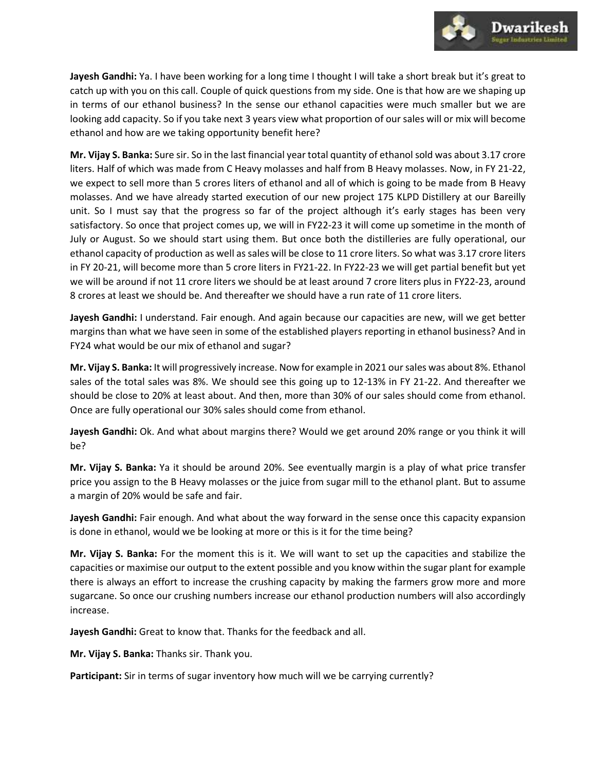

**Jayesh Gandhi:** Ya. I have been working for a long time I thought I will take a short break but it's great to catch up with you on this call. Couple of quick questions from my side. One is that how are we shaping up in terms of our ethanol business? In the sense our ethanol capacities were much smaller but we are looking add capacity. So if you take next 3 years view what proportion of our sales will or mix will become ethanol and how are we taking opportunity benefit here?

**Mr. Vijay S. Banka:** Sure sir. So in the last financial year total quantity of ethanol sold was about 3.17 crore liters. Half of which was made from C Heavy molasses and half from B Heavy molasses. Now, in FY 21-22, we expect to sell more than 5 crores liters of ethanol and all of which is going to be made from B Heavy molasses. And we have already started execution of our new project 175 KLPD Distillery at our Bareilly unit. So I must say that the progress so far of the project although it's early stages has been very satisfactory. So once that project comes up, we will in FY22-23 it will come up sometime in the month of July or August. So we should start using them. But once both the distilleries are fully operational, our ethanol capacity of production as well as sales will be close to 11 crore liters. So what was 3.17 crore liters in FY 20-21, will become more than 5 crore liters in FY21-22. In FY22-23 we will get partial benefit but yet we will be around if not 11 crore liters we should be at least around 7 crore liters plus in FY22-23, around 8 crores at least we should be. And thereafter we should have a run rate of 11 crore liters.

**Jayesh Gandhi:** I understand. Fair enough. And again because our capacities are new, will we get better margins than what we have seen in some of the established players reporting in ethanol business? And in FY24 what would be our mix of ethanol and sugar?

**Mr. Vijay S. Banka:** It will progressively increase. Now for example in 2021 our sales was about 8%. Ethanol sales of the total sales was 8%. We should see this going up to 12-13% in FY 21-22. And thereafter we should be close to 20% at least about. And then, more than 30% of our sales should come from ethanol. Once are fully operational our 30% sales should come from ethanol.

**Jayesh Gandhi:** Ok. And what about margins there? Would we get around 20% range or you think it will be?

**Mr. Vijay S. Banka:** Ya it should be around 20%. See eventually margin is a play of what price transfer price you assign to the B Heavy molasses or the juice from sugar mill to the ethanol plant. But to assume a margin of 20% would be safe and fair.

**Jayesh Gandhi:** Fair enough. And what about the way forward in the sense once this capacity expansion is done in ethanol, would we be looking at more or this is it for the time being?

**Mr. Vijay S. Banka:** For the moment this is it. We will want to set up the capacities and stabilize the capacities or maximise our output to the extent possible and you know within the sugar plant for example there is always an effort to increase the crushing capacity by making the farmers grow more and more sugarcane. So once our crushing numbers increase our ethanol production numbers will also accordingly increase.

**Jayesh Gandhi:** Great to know that. Thanks for the feedback and all.

**Mr. Vijay S. Banka:** Thanks sir. Thank you.

**Participant:** Sir in terms of sugar inventory how much will we be carrying currently?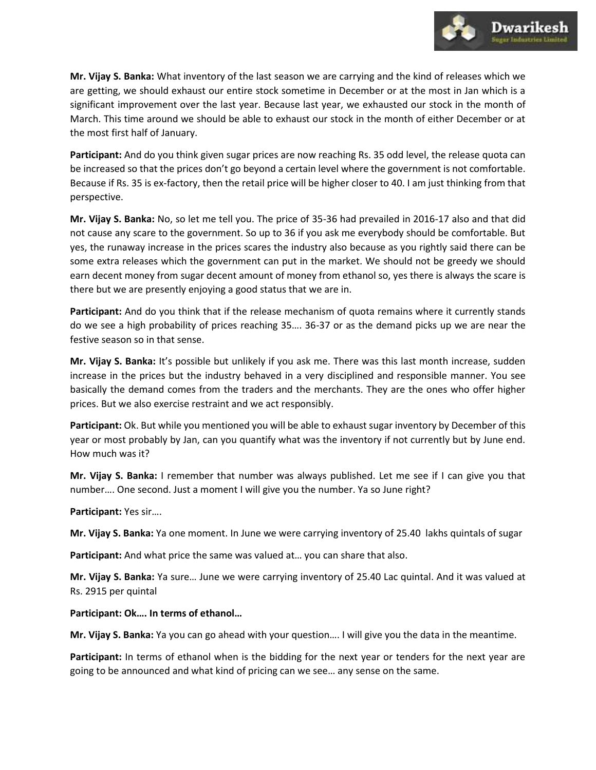

**Mr. Vijay S. Banka:** What inventory of the last season we are carrying and the kind of releases which we are getting, we should exhaust our entire stock sometime in December or at the most in Jan which is a significant improvement over the last year. Because last year, we exhausted our stock in the month of March. This time around we should be able to exhaust our stock in the month of either December or at the most first half of January.

**Participant:** And do you think given sugar prices are now reaching Rs. 35 odd level, the release quota can be increased so that the prices don't go beyond a certain level where the government is not comfortable. Because if Rs. 35 is ex-factory, then the retail price will be higher closer to 40. I am just thinking from that perspective.

**Mr. Vijay S. Banka:** No, so let me tell you. The price of 35-36 had prevailed in 2016-17 also and that did not cause any scare to the government. So up to 36 if you ask me everybody should be comfortable. But yes, the runaway increase in the prices scares the industry also because as you rightly said there can be some extra releases which the government can put in the market. We should not be greedy we should earn decent money from sugar decent amount of money from ethanol so, yes there is always the scare is there but we are presently enjoying a good status that we are in.

**Participant:** And do you think that if the release mechanism of quota remains where it currently stands do we see a high probability of prices reaching 35…. 36-37 or as the demand picks up we are near the festive season so in that sense.

**Mr. Vijay S. Banka:** It's possible but unlikely if you ask me. There was this last month increase, sudden increase in the prices but the industry behaved in a very disciplined and responsible manner. You see basically the demand comes from the traders and the merchants. They are the ones who offer higher prices. But we also exercise restraint and we act responsibly.

**Participant:** Ok. But while you mentioned you will be able to exhaust sugar inventory by December of this year or most probably by Jan, can you quantify what was the inventory if not currently but by June end. How much was it?

**Mr. Vijay S. Banka:** I remember that number was always published. Let me see if I can give you that number…. One second. Just a moment I will give you the number. Ya so June right?

**Participant:** Yes sir….

**Mr. Vijay S. Banka:** Ya one moment. In June we were carrying inventory of 25.40 lakhs quintals of sugar

**Participant:** And what price the same was valued at… you can share that also.

**Mr. Vijay S. Banka:** Ya sure… June we were carrying inventory of 25.40 Lac quintal. And it was valued at Rs. 2915 per quintal

**Participant: Ok…. In terms of ethanol…**

**Mr. Vijay S. Banka:** Ya you can go ahead with your question…. I will give you the data in the meantime.

**Participant:** In terms of ethanol when is the bidding for the next year or tenders for the next year are going to be announced and what kind of pricing can we see… any sense on the same.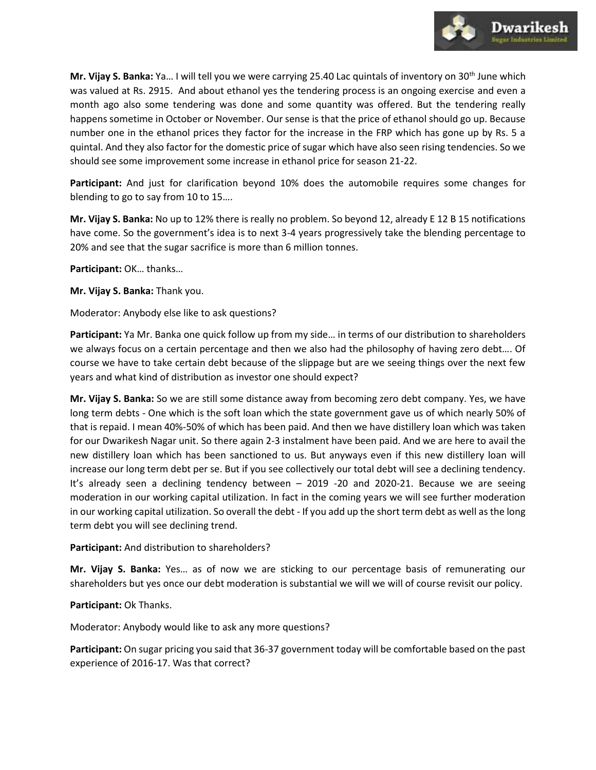

Mr. Vijay S. Banka: Ya... I will tell you we were carrying 25.40 Lac quintals of inventory on 30<sup>th</sup> June which was valued at Rs. 2915. And about ethanol yes the tendering process is an ongoing exercise and even a month ago also some tendering was done and some quantity was offered. But the tendering really happens sometime in October or November. Our sense is that the price of ethanol should go up. Because number one in the ethanol prices they factor for the increase in the FRP which has gone up by Rs. 5 a quintal. And they also factor for the domestic price of sugar which have also seen rising tendencies. So we should see some improvement some increase in ethanol price for season 21-22.

**Participant:** And just for clarification beyond 10% does the automobile requires some changes for blending to go to say from 10 to 15….

**Mr. Vijay S. Banka:** No up to 12% there is really no problem. So beyond 12, already E 12 B 15 notifications have come. So the government's idea is to next 3-4 years progressively take the blending percentage to 20% and see that the sugar sacrifice is more than 6 million tonnes.

**Participant:** OK… thanks…

**Mr. Vijay S. Banka:** Thank you.

Moderator: Anybody else like to ask questions?

**Participant:** Ya Mr. Banka one quick follow up from my side… in terms of our distribution to shareholders we always focus on a certain percentage and then we also had the philosophy of having zero debt…. Of course we have to take certain debt because of the slippage but are we seeing things over the next few years and what kind of distribution as investor one should expect?

**Mr. Vijay S. Banka:** So we are still some distance away from becoming zero debt company. Yes, we have long term debts - One which is the soft loan which the state government gave us of which nearly 50% of that is repaid. I mean 40%-50% of which has been paid. And then we have distillery loan which was taken for our Dwarikesh Nagar unit. So there again 2-3 instalment have been paid. And we are here to avail the new distillery loan which has been sanctioned to us. But anyways even if this new distillery loan will increase our long term debt per se. But if you see collectively our total debt will see a declining tendency. It's already seen a declining tendency between – 2019 -20 and 2020-21. Because we are seeing moderation in our working capital utilization. In fact in the coming years we will see further moderation in our working capital utilization. So overall the debt - If you add up the short term debt as well as the long term debt you will see declining trend.

## **Participant:** And distribution to shareholders?

**Mr. Vijay S. Banka:** Yes… as of now we are sticking to our percentage basis of remunerating our shareholders but yes once our debt moderation is substantial we will we will of course revisit our policy.

## **Participant:** Ok Thanks.

Moderator: Anybody would like to ask any more questions?

**Participant:** On sugar pricing you said that 36-37 government today will be comfortable based on the past experience of 2016-17. Was that correct?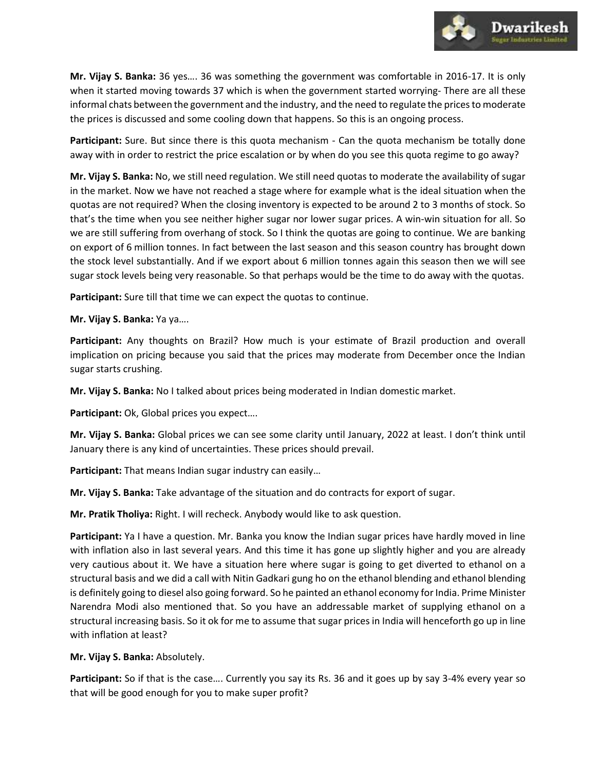

**Mr. Vijay S. Banka:** 36 yes…. 36 was something the government was comfortable in 2016-17. It is only when it started moving towards 37 which is when the government started worrying- There are all these informal chats between the government and the industry, and the need to regulate the prices to moderate the prices is discussed and some cooling down that happens. So this is an ongoing process.

**Participant:** Sure. But since there is this quota mechanism - Can the quota mechanism be totally done away with in order to restrict the price escalation or by when do you see this quota regime to go away?

**Mr. Vijay S. Banka:** No, we still need regulation. We still need quotas to moderate the availability of sugar in the market. Now we have not reached a stage where for example what is the ideal situation when the quotas are not required? When the closing inventory is expected to be around 2 to 3 months of stock. So that's the time when you see neither higher sugar nor lower sugar prices. A win-win situation for all. So we are still suffering from overhang of stock. So I think the quotas are going to continue. We are banking on export of 6 million tonnes. In fact between the last season and this season country has brought down the stock level substantially. And if we export about 6 million tonnes again this season then we will see sugar stock levels being very reasonable. So that perhaps would be the time to do away with the quotas.

**Participant:** Sure till that time we can expect the quotas to continue.

**Mr. Vijay S. Banka:** Ya ya….

**Participant:** Any thoughts on Brazil? How much is your estimate of Brazil production and overall implication on pricing because you said that the prices may moderate from December once the Indian sugar starts crushing.

**Mr. Vijay S. Banka:** No I talked about prices being moderated in Indian domestic market.

**Participant:** Ok, Global prices you expect….

**Mr. Vijay S. Banka:** Global prices we can see some clarity until January, 2022 at least. I don't think until January there is any kind of uncertainties. These prices should prevail.

**Participant:** That means Indian sugar industry can easily…

**Mr. Vijay S. Banka:** Take advantage of the situation and do contracts for export of sugar.

**Mr. Pratik Tholiya:** Right. I will recheck. Anybody would like to ask question.

**Participant:** Ya I have a question. Mr. Banka you know the Indian sugar prices have hardly moved in line with inflation also in last several years. And this time it has gone up slightly higher and you are already very cautious about it. We have a situation here where sugar is going to get diverted to ethanol on a structural basis and we did a call with Nitin Gadkari gung ho on the ethanol blending and ethanol blending is definitely going to diesel also going forward. So he painted an ethanol economy for India. Prime Minister Narendra Modi also mentioned that. So you have an addressable market of supplying ethanol on a structural increasing basis. So it ok for me to assume that sugar prices in India will henceforth go up in line with inflation at least?

**Mr. Vijay S. Banka:** Absolutely.

Participant: So if that is the case.... Currently you say its Rs. 36 and it goes up by say 3-4% every year so that will be good enough for you to make super profit?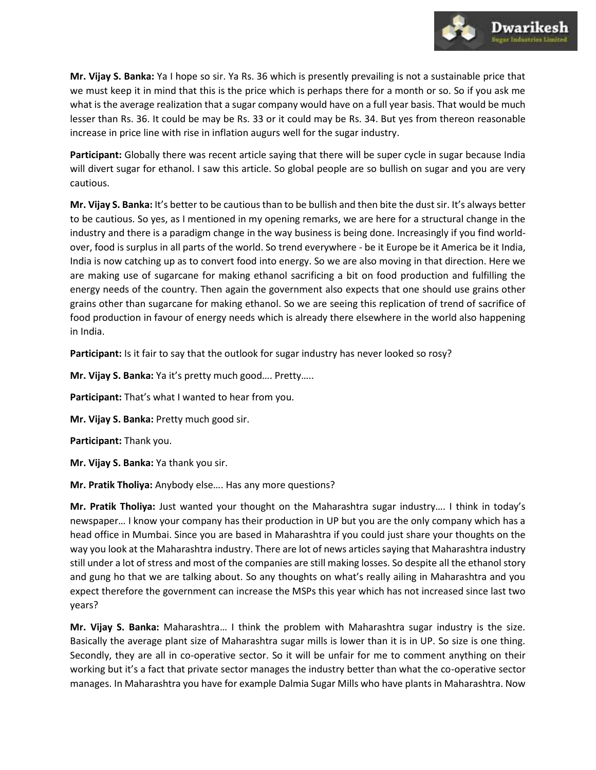

**Mr. Vijay S. Banka:** Ya I hope so sir. Ya Rs. 36 which is presently prevailing is not a sustainable price that we must keep it in mind that this is the price which is perhaps there for a month or so. So if you ask me what is the average realization that a sugar company would have on a full year basis. That would be much lesser than Rs. 36. It could be may be Rs. 33 or it could may be Rs. 34. But yes from thereon reasonable increase in price line with rise in inflation augurs well for the sugar industry.

**Participant:** Globally there was recent article saying that there will be super cycle in sugar because India will divert sugar for ethanol. I saw this article. So global people are so bullish on sugar and you are very cautious.

**Mr. Vijay S. Banka:** It's better to be cautious than to be bullish and then bite the dust sir. It's always better to be cautious. So yes, as I mentioned in my opening remarks, we are here for a structural change in the industry and there is a paradigm change in the way business is being done. Increasingly if you find worldover, food is surplus in all parts of the world. So trend everywhere - be it Europe be it America be it India, India is now catching up as to convert food into energy. So we are also moving in that direction. Here we are making use of sugarcane for making ethanol sacrificing a bit on food production and fulfilling the energy needs of the country. Then again the government also expects that one should use grains other grains other than sugarcane for making ethanol. So we are seeing this replication of trend of sacrifice of food production in favour of energy needs which is already there elsewhere in the world also happening in India.

Participant: Is it fair to say that the outlook for sugar industry has never looked so rosy?

**Mr. Vijay S. Banka:** Ya it's pretty much good…. Pretty…..

**Participant:** That's what I wanted to hear from you.

**Mr. Vijay S. Banka:** Pretty much good sir.

**Participant:** Thank you.

**Mr. Vijay S. Banka:** Ya thank you sir.

**Mr. Pratik Tholiya:** Anybody else…. Has any more questions?

**Mr. Pratik Tholiya:** Just wanted your thought on the Maharashtra sugar industry…. I think in today's newspaper… I know your company has their production in UP but you are the only company which has a head office in Mumbai. Since you are based in Maharashtra if you could just share your thoughts on the way you look at the Maharashtra industry. There are lot of news articles saying that Maharashtra industry still under a lot of stress and most of the companies are still making losses. So despite all the ethanol story and gung ho that we are talking about. So any thoughts on what's really ailing in Maharashtra and you expect therefore the government can increase the MSPs this year which has not increased since last two years?

**Mr. Vijay S. Banka:** Maharashtra… I think the problem with Maharashtra sugar industry is the size. Basically the average plant size of Maharashtra sugar mills is lower than it is in UP. So size is one thing. Secondly, they are all in co-operative sector. So it will be unfair for me to comment anything on their working but it's a fact that private sector manages the industry better than what the co-operative sector manages. In Maharashtra you have for example Dalmia Sugar Mills who have plants in Maharashtra. Now